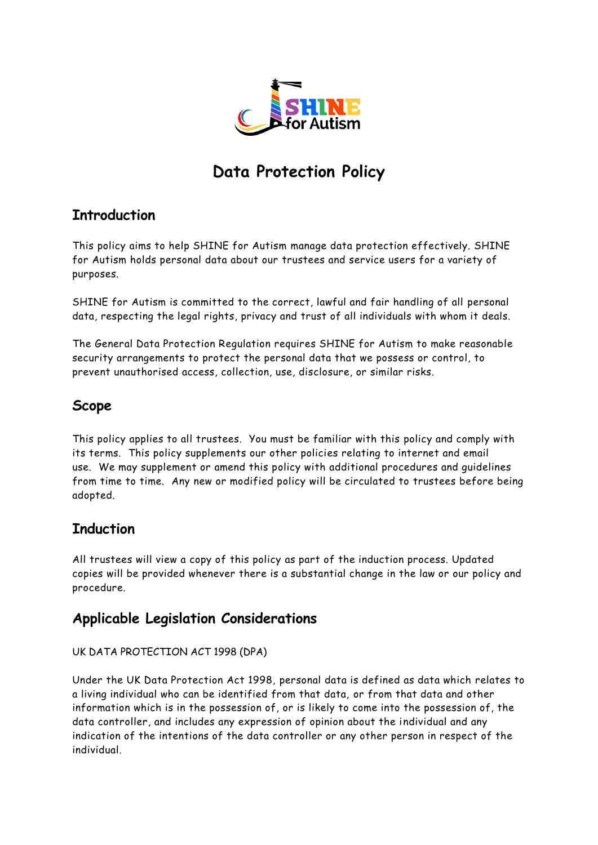

# **Data Protection Policy**

# **Introduction**

This policy aims to help SHINE for Autism manage data protection effectively. SHINE for Autism holds personal data about our trustees and service users for a variety of purposes.

SHINE for Autism is committed to the correct, lawful and fair handling of all personal data, respecting the legal rights, privacy and trust of all individuals with whom it deals.

The General Data Protection Regulation requires SHINE for Autism to make reasonable security arrangements to protect the personal data that we possess or control, to prevent unauthorised access, collection, use, disclosure, or similar risks.

# **Scope**

This policy applies to all trustees. You must be familiar with this policy and comply with its terms. This policy supplements our other policies relating to internet and email use. We may supplement or amend this policy with additional procedures and guidelines from time to time. Any new or modified policy will be circulated to trustees before being adopted.

# **Induction**

All trustees will view a copy of this policy as part of the induction process. Updated copies will be provided whenever there is a substantial change in the law or our policy and procedure.

### **Applicable Legislation Considerations**

### UK DATA PROTECTION ACT 1998 (DPA)

Under the UK Data Protection Act 1998, personal data is defined as data which relates to a living individual who can be identified from that data, or from that data and other information which is in the possession of, or is likely to come into the possession of, the data controller, and includes any expression of opinion about the individual and any indication of the intentions of the data controller or any other person in respect of the individual.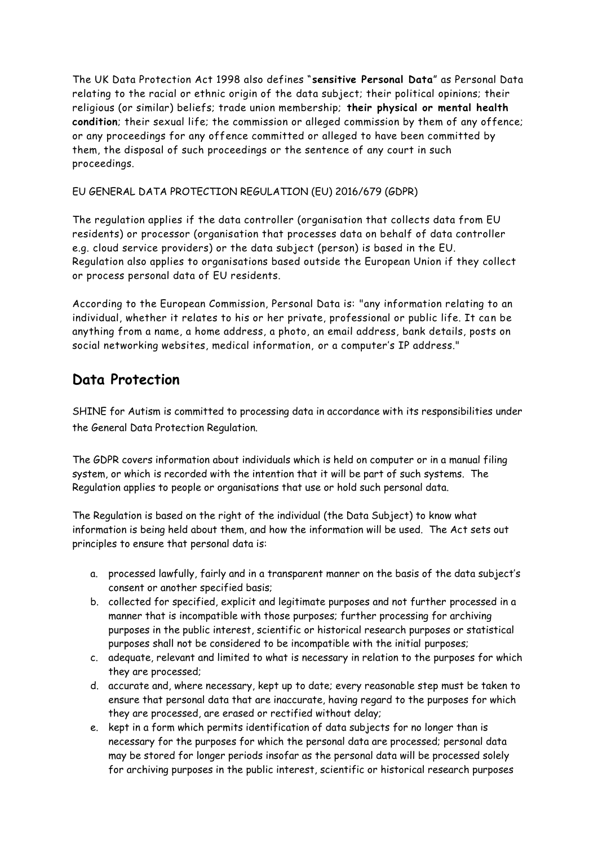The UK Data Protection Act 1998 also defines "**sensitive Personal Data**" as Personal Data relating to the racial or ethnic origin of the data subject; their political opinions; their religious (or similar) beliefs; trade union membership; **their physical or mental health condition**; their sexual life; the commission or alleged commission by them of any offence; or any proceedings for any offence committed or alleged to have been committed by them, the disposal of such proceedings or the sentence of any court in such proceedings.

### EU GENERAL DATA PROTECTION REGULATION (EU) 2016/679 (GDPR)

The regulation applies if the data controller (organisation that collects data from EU residents) or processor (organisation that processes data on behalf of data controller e.g. cloud service providers) or the data subject (person) is based in the EU. Regulation also applies to organisations based outside the European Union if they collect or process personal data of EU residents.

According to the European Commission, Personal Data is: "any information relating to an individual, whether it relates to his or her private, professional or public life. It can be anything from a name, a home address, a photo, an email address, bank details, posts on social networking websites, medical information, or a computer's IP address."

# **Data Protection**

SHINE for Autism is committed to processing data in accordance with its responsibilities under the General Data Protection Regulation.

The GDPR covers information about individuals which is held on computer or in a manual filing system, or which is recorded with the intention that it will be part of such systems. The Regulation applies to people or organisations that use or hold such personal data.

The Regulation is based on the right of the individual (the Data Subject) to know what information is being held about them, and how the information will be used. The Act sets out principles to ensure that personal data is:

- a. processed lawfully, fairly and in a transparent manner on the basis of the data subject's consent or another specified basis;
- b. collected for specified, explicit and legitimate purposes and not further processed in a manner that is incompatible with those purposes; further processing for archiving purposes in the public interest, scientific or historical research purposes or statistical purposes shall not be considered to be incompatible with the initial purposes;
- c. adequate, relevant and limited to what is necessary in relation to the purposes for which they are processed;
- d. accurate and, where necessary, kept up to date; every reasonable step must be taken to ensure that personal data that are inaccurate, having regard to the purposes for which they are processed, are erased or rectified without delay;
- e. kept in a form which permits identification of data subjects for no longer than is necessary for the purposes for which the personal data are processed; personal data may be stored for longer periods insofar as the personal data will be processed solely for archiving purposes in the public interest, scientific or historical research purposes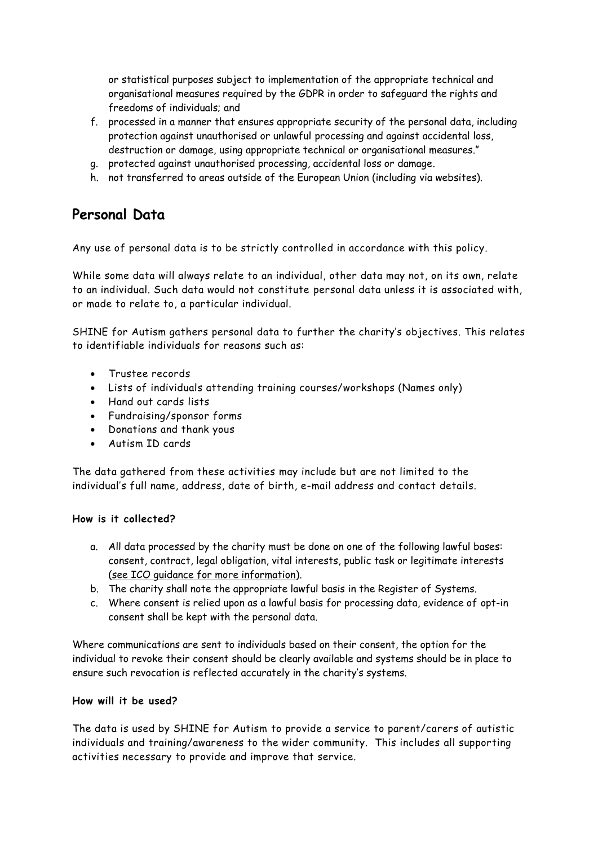or statistical purposes subject to implementation of the appropriate technical and organisational measures required by the GDPR in order to safeguard the rights and freedoms of individuals; and

- f. processed in a manner that ensures appropriate security of the personal data, including protection against unauthorised or unlawful processing and against accidental loss, destruction or damage, using appropriate technical or organisational measures."
- g. protected against unauthorised processing, accidental loss or damage.
- h. not transferred to areas outside of the European Union (including via websites).

# **Personal Data**

Any use of personal data is to be strictly controlled in accordance with this policy.

While some data will always relate to an individual, other data may not, on its own, relate to an individual. Such data would not constitute personal data unless it is associated with, or made to relate to, a particular individual.

SHINE for Autism gathers personal data to further the charity's objectives. This relates to identifiable individuals for reasons such as:

- Trustee records
- Lists of individuals attending training courses/workshops (Names only)
- Hand out cards lists
- Fundraising/sponsor forms
- Donations and thank yous
- Autism ID cards

The data gathered from these activities may include but are not limited to the individual's full name, address, date of birth, e-mail address and contact details.

### **How is it collected?**

- a. All data processed by the charity must be done on one of the following lawful bases: consent, contract, legal obligation, vital interests, public task or legitimate interests [\(see ICO guidance for more information\)](https://ico.org.uk/for-organisations/guide-to-the-general-data-protection-regulation-gdpr/lawful-basis-for-processing/).
- b. The charity shall note the appropriate lawful basis in the Register of Systems.
- c. Where consent is relied upon as a lawful basis for processing data, evidence of opt-in consent shall be kept with the personal data.

Where communications are sent to individuals based on their consent, the option for the individual to revoke their consent should be clearly available and systems should be in place to ensure such revocation is reflected accurately in the charity's systems.

### **How will it be used?**

The data is used by SHINE for Autism to provide a service to parent/carers of autistic individuals and training/awareness to the wider community. This includes all supporting activities necessary to provide and improve that service.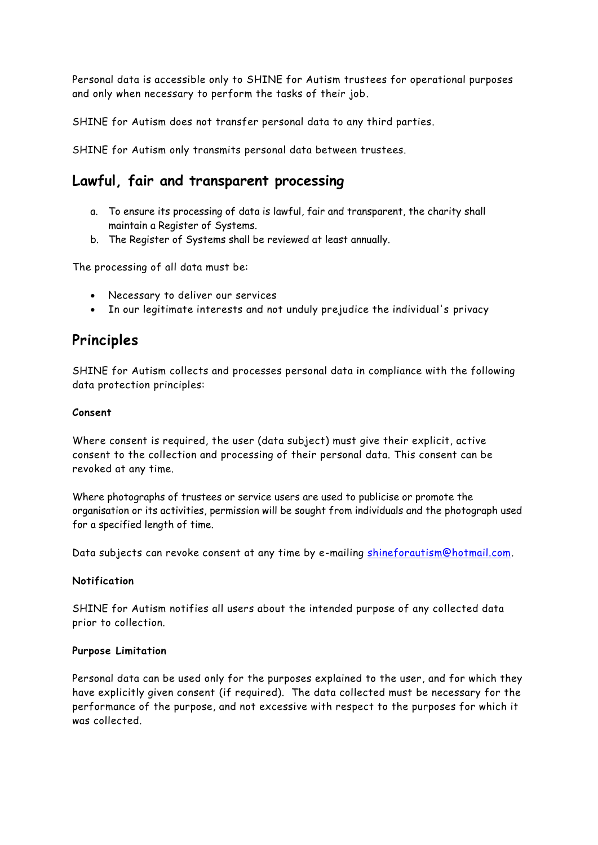Personal data is accessible only to SHINE for Autism trustees for operational purposes and only when necessary to perform the tasks of their job.

SHINE for Autism does not transfer personal data to any third parties.

SHINE for Autism only transmits personal data between trustees.

### **Lawful, fair and transparent processing**

- a. To ensure its processing of data is lawful, fair and transparent, the charity shall maintain a Register of Systems.
- b. The Register of Systems shall be reviewed at least annually.

The processing of all data must be:

- Necessary to deliver our services
- In our legitimate interests and not unduly prejudice the individual's privacy

### **Principles**

SHINE for Autism collects and processes personal data in compliance with the following data protection principles:

#### **Consent**

Where consent is required, the user (data subject) must give their explicit, active consent to the collection and processing of their personal data. This consent can be revoked at any time.

Where photographs of trustees or service users are used to publicise or promote the organisation or its activities, permission will be sought from individuals and the photograph used for a specified length of time.

Data subjects can revoke consent at any time by e-mailing [shineforautism@hotmail.com.](mailto:shineforautism@hotmail.com)

#### **Notification**

SHINE for Autism notifies all users about the intended purpose of any collected data prior to collection.

#### **Purpose Limitation**

Personal data can be used only for the purposes explained to the user, and for which they have explicitly given consent (if required). The data collected must be necessary for the performance of the purpose, and not excessive with respect to the purposes for which it was collected.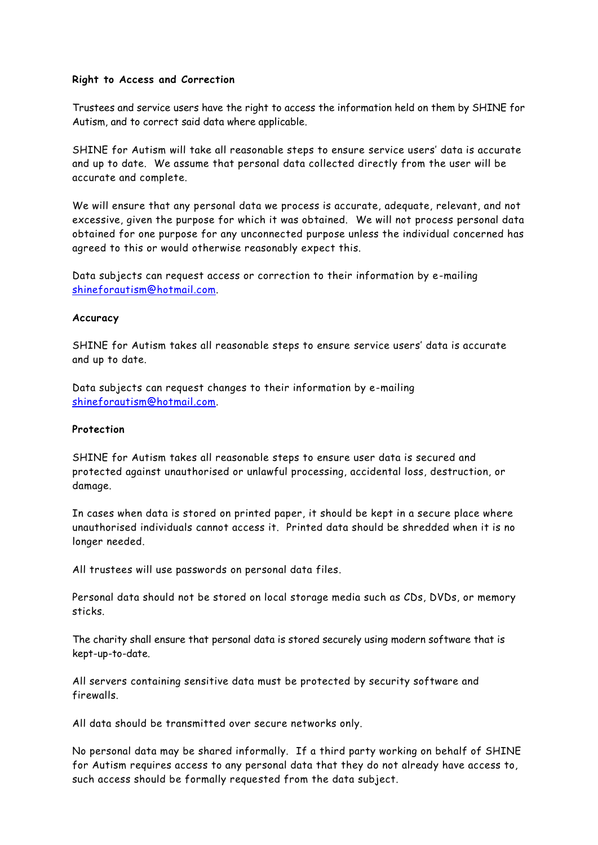#### **Right to Access and Correction**

Trustees and service users have the right to access the information held on them by SHINE for Autism, and to correct said data where applicable.

SHINE for Autism will take all reasonable steps to ensure service users' data is accurate and up to date. We assume that personal data collected directly from the user will be accurate and complete.

We will ensure that any personal data we process is accurate, adequate, relevant, and not excessive, given the purpose for which it was obtained. We will not process personal data obtained for one purpose for any unconnected purpose unless the individual concerned has agreed to this or would otherwise reasonably expect this.

Data subjects can request access or correction to their information by e-mailing [shineforautism@hotmail.com.](mailto:shineforautism@hotmail.com)

#### **Accuracy**

SHINE for Autism takes all reasonable steps to ensure service users' data is accurate and up to date.

Data subjects can request changes to their information by e-mailing [shineforautism@hotmail.com.](mailto:shineforautism@hotmail.com)

#### **Protection**

SHINE for Autism takes all reasonable steps to ensure user data is secured and protected against unauthorised or unlawful processing, accidental loss, destruction, or damage.

In cases when data is stored on printed paper, it should be kept in a secure place where unauthorised individuals cannot access it. Printed data should be shredded when it is no longer needed.

All trustees will use passwords on personal data files.

Personal data should not be stored on local storage media such as CDs, DVDs, or memory sticks.

The charity shall ensure that personal data is stored securely using modern software that is kept-up-to-date.

All servers containing sensitive data must be protected by security software and firewalls.

All data should be transmitted over secure networks only.

No personal data may be shared informally. If a third party working on behalf of SHINE for Autism requires access to any personal data that they do not already have access to, such access should be formally requested from the data subject.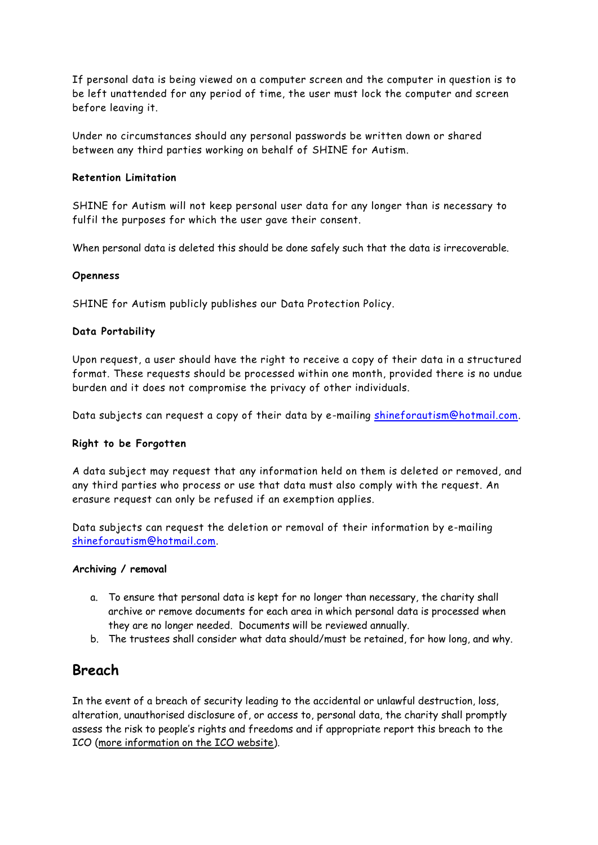If personal data is being viewed on a computer screen and the computer in question is to be left unattended for any period of time, the user must lock the computer and screen before leaving it.

Under no circumstances should any personal passwords be written down or shared between any third parties working on behalf of SHINE for Autism.

#### **Retention Limitation**

SHINE for Autism will not keep personal user data for any longer than is necessary to fulfil the purposes for which the user gave their consent.

When personal data is deleted this should be done safely such that the data is irrecoverable.

#### **Openness**

SHINE for Autism publicly publishes our Data Protection Policy.

### **Data Portability**

Upon request, a user should have the right to receive a copy of their data in a structured format. These requests should be processed within one month, provided there is no undue burden and it does not compromise the privacy of other individuals.

Data subjects can request a copy of their data by e-mailing [shineforautism@hotmail.com.](mailto:shineforautism@hotmail.com)

### **Right to be Forgotten**

A data subject may request that any information held on them is deleted or removed, and any third parties who process or use that data must also comply with the request. An erasure request can only be refused if an exemption applies.

Data subjects can request the deletion or removal of their information by e-mailing [shineforautism@hotmail.com.](mailto:shineforautism@hotmail.com)

#### **Archiving / removal**

- a. To ensure that personal data is kept for no longer than necessary, the charity shall archive or remove documents for each area in which personal data is processed when they are no longer needed. Documents will be reviewed annually.
- b. The trustees shall consider what data should/must be retained, for how long, and why.

### **Breach**

In the event of a breach of security leading to the accidental or unlawful destruction, loss, alteration, unauthorised disclosure of, or access to, personal data, the charity shall promptly assess the risk to people's rights and freedoms and if appropriate report this breach to the ICO [\(more information on the ICO website\)](https://ico.org.uk/for-organisations/guide-to-the-general-data-protection-regulation-gdpr/personal-data-breaches/).